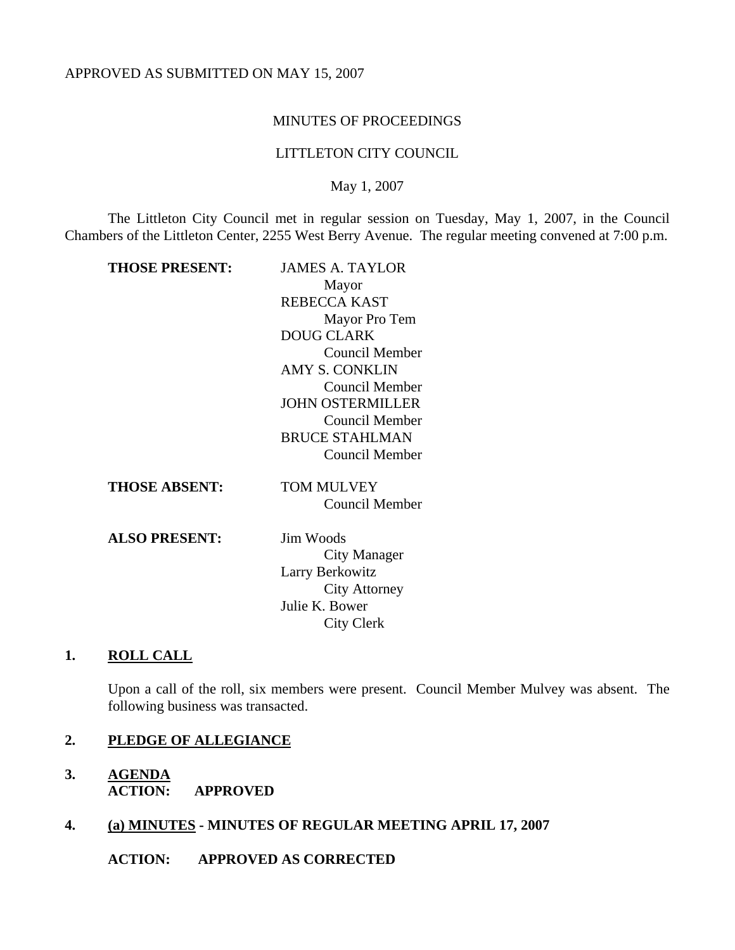#### MINUTES OF PROCEEDINGS

#### LITTLETON CITY COUNCIL

May 1, 2007

The Littleton City Council met in regular session on Tuesday, May 1, 2007, in the Council Chambers of the Littleton Center, 2255 West Berry Avenue. The regular meeting convened at 7:00 p.m.

| <b>JAMES A. TAYLOR</b>  |
|-------------------------|
| Mayor                   |
| <b>REBECCA KAST</b>     |
| Mayor Pro Tem           |
| <b>DOUG CLARK</b>       |
| Council Member          |
| <b>AMY S. CONKLIN</b>   |
| Council Member          |
| <b>JOHN OSTERMILLER</b> |
| Council Member          |
| <b>BRUCE STAHLMAN</b>   |
| <b>Council Member</b>   |
| TOM MULVEY              |
| Council Member          |
| <b>Jim Woods</b>        |
| City Manager            |
| Larry Berkowitz         |
| City Attorney           |
| Julie K. Bower          |
| City Clerk              |
|                         |

# **1. ROLL CALL**

Upon a call of the roll, six members were present. Council Member Mulvey was absent. The following business was transacted.

# **2. PLEDGE OF ALLEGIANCE**

**3. AGENDA ACTION: APPROVED** 

# **4. (a) MINUTES - MINUTES OF REGULAR MEETING APRIL 17, 2007**

**ACTION: APPROVED AS CORRECTED**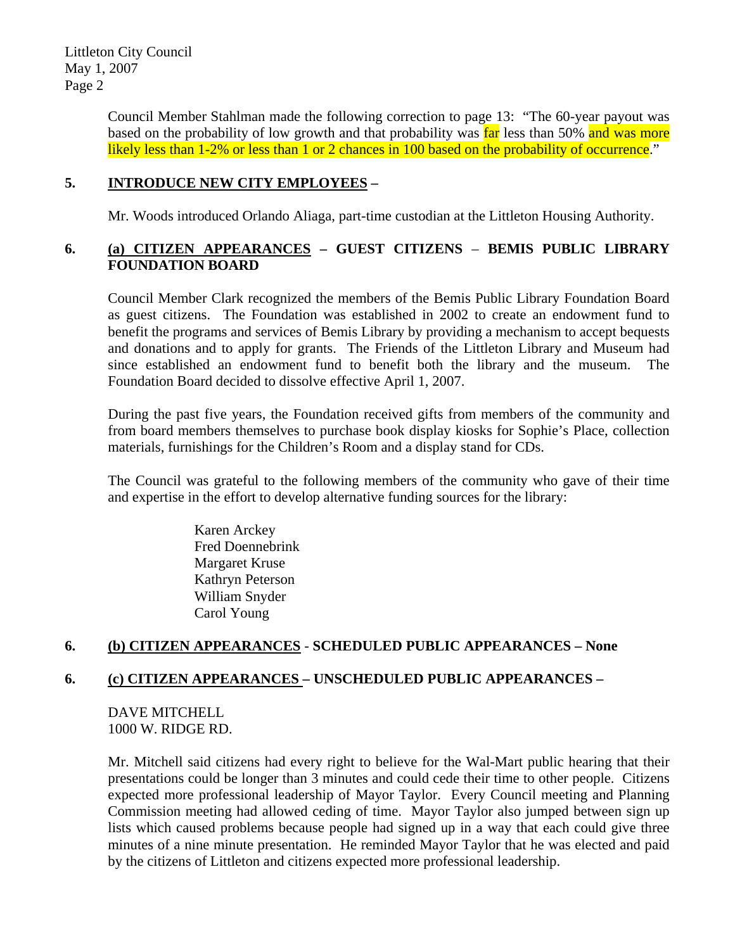> Council Member Stahlman made the following correction to page 13: "The 60-year payout was based on the probability of low growth and that probability was far less than 50% and was more likely less than 1-2% or less than 1 or 2 chances in 100 based on the probability of occurrence."

#### **5. INTRODUCE NEW CITY EMPLOYEES –**

Mr. Woods introduced Orlando Aliaga, part-time custodian at the Littleton Housing Authority.

### **6. (a) CITIZEN APPEARANCES – GUEST CITIZENS** – **BEMIS PUBLIC LIBRARY FOUNDATION BOARD**

Council Member Clark recognized the members of the Bemis Public Library Foundation Board as guest citizens. The Foundation was established in 2002 to create an endowment fund to benefit the programs and services of Bemis Library by providing a mechanism to accept bequests and donations and to apply for grants. The Friends of the Littleton Library and Museum had since established an endowment fund to benefit both the library and the museum. The Foundation Board decided to dissolve effective April 1, 2007.

During the past five years, the Foundation received gifts from members of the community and from board members themselves to purchase book display kiosks for Sophie's Place, collection materials, furnishings for the Children's Room and a display stand for CDs.

The Council was grateful to the following members of the community who gave of their time and expertise in the effort to develop alternative funding sources for the library:

> Karen Arckey Fred Doennebrink Margaret Kruse Kathryn Peterson William Snyder Carol Young

# **6. (b) CITIZEN APPEARANCES** - **SCHEDULED PUBLIC APPEARANCES – None**

# **6. (c) CITIZEN APPEARANCES – UNSCHEDULED PUBLIC APPEARANCES –**

DAVE MITCHELL 1000 W. RIDGE RD.

Mr. Mitchell said citizens had every right to believe for the Wal-Mart public hearing that their presentations could be longer than 3 minutes and could cede their time to other people. Citizens expected more professional leadership of Mayor Taylor. Every Council meeting and Planning Commission meeting had allowed ceding of time. Mayor Taylor also jumped between sign up lists which caused problems because people had signed up in a way that each could give three minutes of a nine minute presentation. He reminded Mayor Taylor that he was elected and paid by the citizens of Littleton and citizens expected more professional leadership.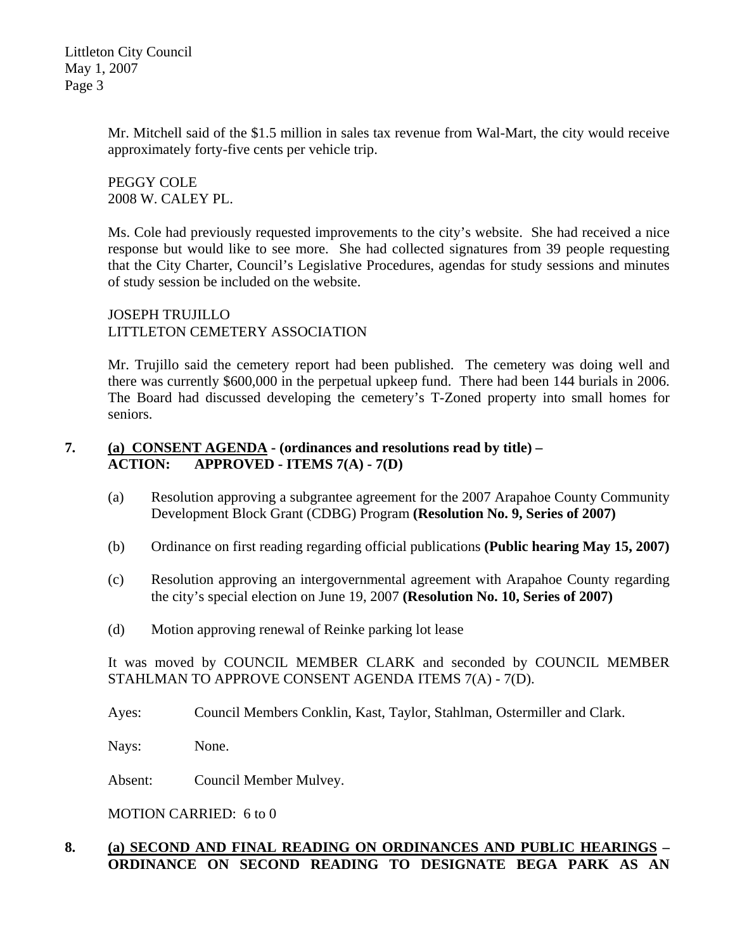> Mr. Mitchell said of the \$1.5 million in sales tax revenue from Wal-Mart, the city would receive approximately forty-five cents per vehicle trip.

PEGGY COLE 2008 W. CALEY PL.

Ms. Cole had previously requested improvements to the city's website. She had received a nice response but would like to see more. She had collected signatures from 39 people requesting that the City Charter, Council's Legislative Procedures, agendas for study sessions and minutes of study session be included on the website.

JOSEPH TRUJILLO LITTLETON CEMETERY ASSOCIATION

Mr. Trujillo said the cemetery report had been published. The cemetery was doing well and there was currently \$600,000 in the perpetual upkeep fund. There had been 144 burials in 2006. The Board had discussed developing the cemetery's T-Zoned property into small homes for seniors.

# **7. (a) CONSENT AGENDA - (ordinances and resolutions read by title) – ACTION: APPROVED - ITEMS 7(A) - 7(D)**

- (a) Resolution approving a subgrantee agreement for the 2007 Arapahoe County Community Development Block Grant (CDBG) Program **(Resolution No. 9, Series of 2007)**
- (b) Ordinance on first reading regarding official publications **(Public hearing May 15, 2007)**
- (c) Resolution approving an intergovernmental agreement with Arapahoe County regarding the city's special election on June 19, 2007 **(Resolution No. 10, Series of 2007)**
- (d) Motion approving renewal of Reinke parking lot lease

It was moved by COUNCIL MEMBER CLARK and seconded by COUNCIL MEMBER STAHLMAN TO APPROVE CONSENT AGENDA ITEMS 7(A) - 7(D).

Ayes: Council Members Conklin, Kast, Taylor, Stahlman, Ostermiller and Clark.

Nays: None.

Absent: Council Member Mulvey.

MOTION CARRIED: 6 to 0

# **8. (a) SECOND AND FINAL READING ON ORDINANCES AND PUBLIC HEARINGS – ORDINANCE ON SECOND READING TO DESIGNATE BEGA PARK AS AN**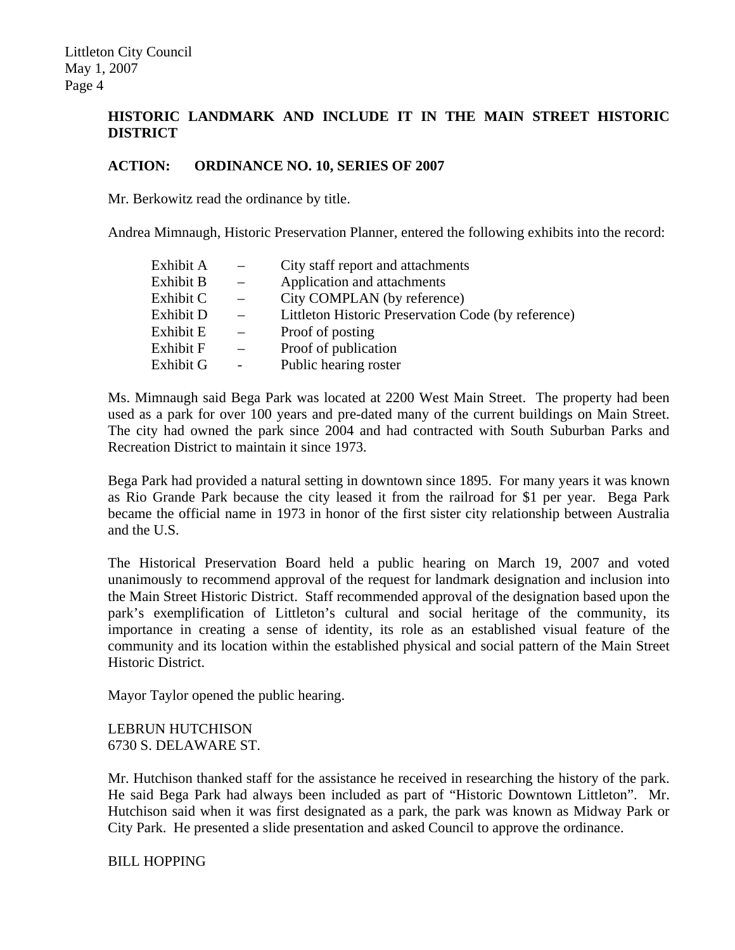## **HISTORIC LANDMARK AND INCLUDE IT IN THE MAIN STREET HISTORIC DISTRICT**

#### **ACTION: ORDINANCE NO. 10, SERIES OF 2007**

Mr. Berkowitz read the ordinance by title.

Andrea Mimnaugh, Historic Preservation Planner, entered the following exhibits into the record:

| Exhibit A | City staff report and attachments                   |
|-----------|-----------------------------------------------------|
| Exhibit B | Application and attachments                         |
| Exhibit C | City COMPLAN (by reference)                         |
| Exhibit D | Littleton Historic Preservation Code (by reference) |
| Exhibit E | Proof of posting                                    |
| Exhibit F | Proof of publication                                |
| Exhibit G | Public hearing roster                               |
|           |                                                     |

Ms. Mimnaugh said Bega Park was located at 2200 West Main Street. The property had been used as a park for over 100 years and pre-dated many of the current buildings on Main Street. The city had owned the park since 2004 and had contracted with South Suburban Parks and Recreation District to maintain it since 1973.

Bega Park had provided a natural setting in downtown since 1895. For many years it was known as Rio Grande Park because the city leased it from the railroad for \$1 per year. Bega Park became the official name in 1973 in honor of the first sister city relationship between Australia and the U.S.

The Historical Preservation Board held a public hearing on March 19, 2007 and voted unanimously to recommend approval of the request for landmark designation and inclusion into the Main Street Historic District. Staff recommended approval of the designation based upon the park's exemplification of Littleton's cultural and social heritage of the community, its importance in creating a sense of identity, its role as an established visual feature of the community and its location within the established physical and social pattern of the Main Street Historic District.

Mayor Taylor opened the public hearing.

LEBRUN HUTCHISON 6730 S. DELAWARE ST.

Mr. Hutchison thanked staff for the assistance he received in researching the history of the park. He said Bega Park had always been included as part of "Historic Downtown Littleton". Mr. Hutchison said when it was first designated as a park, the park was known as Midway Park or City Park. He presented a slide presentation and asked Council to approve the ordinance.

BILL HOPPING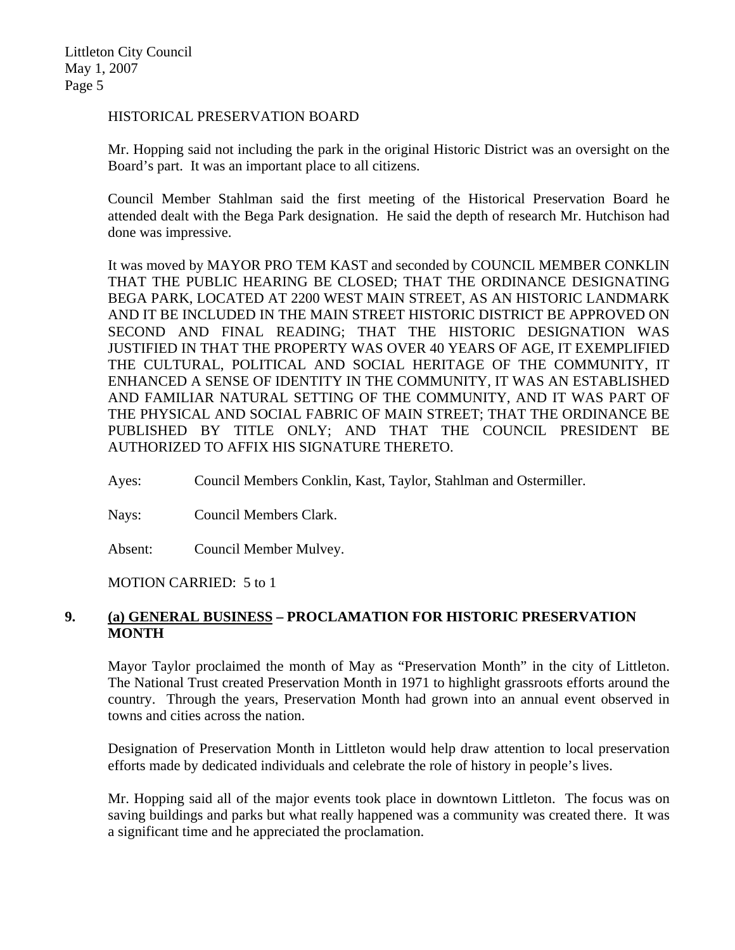#### HISTORICAL PRESERVATION BOARD

Mr. Hopping said not including the park in the original Historic District was an oversight on the Board's part. It was an important place to all citizens.

Council Member Stahlman said the first meeting of the Historical Preservation Board he attended dealt with the Bega Park designation. He said the depth of research Mr. Hutchison had done was impressive.

It was moved by MAYOR PRO TEM KAST and seconded by COUNCIL MEMBER CONKLIN THAT THE PUBLIC HEARING BE CLOSED; THAT THE ORDINANCE DESIGNATING BEGA PARK, LOCATED AT 2200 WEST MAIN STREET, AS AN HISTORIC LANDMARK AND IT BE INCLUDED IN THE MAIN STREET HISTORIC DISTRICT BE APPROVED ON SECOND AND FINAL READING; THAT THE HISTORIC DESIGNATION WAS JUSTIFIED IN THAT THE PROPERTY WAS OVER 40 YEARS OF AGE, IT EXEMPLIFIED THE CULTURAL, POLITICAL AND SOCIAL HERITAGE OF THE COMMUNITY, IT ENHANCED A SENSE OF IDENTITY IN THE COMMUNITY, IT WAS AN ESTABLISHED AND FAMILIAR NATURAL SETTING OF THE COMMUNITY, AND IT WAS PART OF THE PHYSICAL AND SOCIAL FABRIC OF MAIN STREET; THAT THE ORDINANCE BE PUBLISHED BY TITLE ONLY; AND THAT THE COUNCIL PRESIDENT BE AUTHORIZED TO AFFIX HIS SIGNATURE THERETO.

Ayes: Council Members Conklin, Kast, Taylor, Stahlman and Ostermiller.

Nays: Council Members Clark.

Absent: Council Member Mulvey.

MOTION CARRIED: 5 to 1

### **9. (a) GENERAL BUSINESS – PROCLAMATION FOR HISTORIC PRESERVATION MONTH**

Mayor Taylor proclaimed the month of May as "Preservation Month" in the city of Littleton. The National Trust created Preservation Month in 1971 to highlight grassroots efforts around the country. Through the years, Preservation Month had grown into an annual event observed in towns and cities across the nation.

Designation of Preservation Month in Littleton would help draw attention to local preservation efforts made by dedicated individuals and celebrate the role of history in people's lives.

Mr. Hopping said all of the major events took place in downtown Littleton. The focus was on saving buildings and parks but what really happened was a community was created there. It was a significant time and he appreciated the proclamation.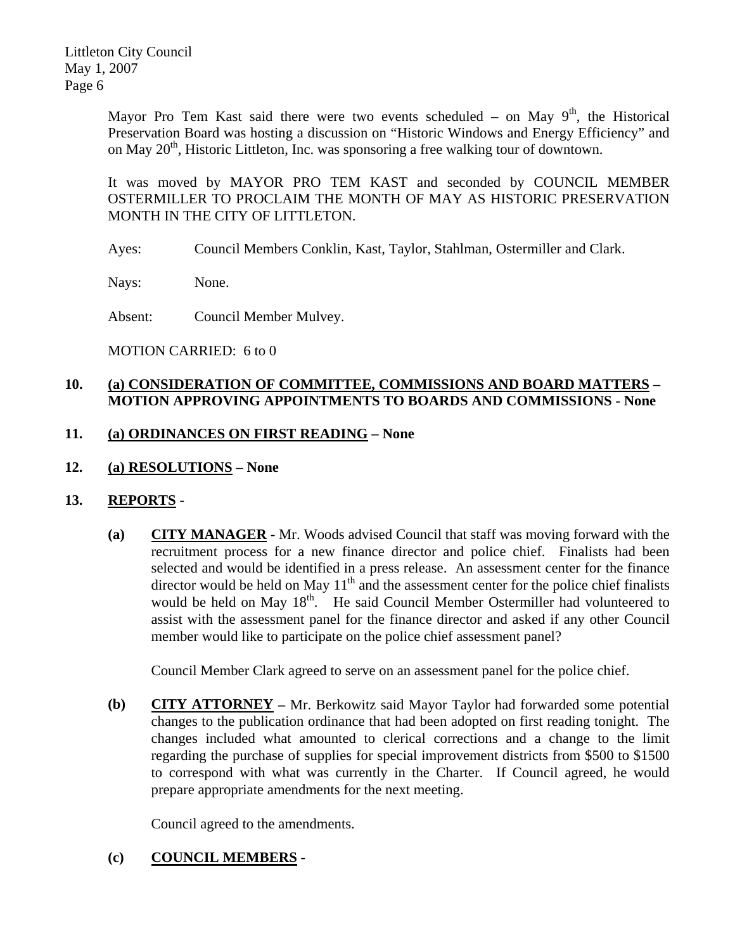> Mayor Pro Tem Kast said there were two events scheduled – on May  $9<sup>th</sup>$ , the Historical Preservation Board was hosting a discussion on "Historic Windows and Energy Efficiency" and on May  $20<sup>th</sup>$ , Historic Littleton, Inc. was sponsoring a free walking tour of downtown.

> It was moved by MAYOR PRO TEM KAST and seconded by COUNCIL MEMBER OSTERMILLER TO PROCLAIM THE MONTH OF MAY AS HISTORIC PRESERVATION MONTH IN THE CITY OF LITTLETON.

Ayes: Council Members Conklin, Kast, Taylor, Stahlman, Ostermiller and Clark.

Nays: None.

Absent: Council Member Mulvey.

MOTION CARRIED: 6 to 0

# **10. (a) CONSIDERATION OF COMMITTEE, COMMISSIONS AND BOARD MATTERS – MOTION APPROVING APPOINTMENTS TO BOARDS AND COMMISSIONS - None**

### **11. (a) ORDINANCES ON FIRST READING – None**

**12. (a) RESOLUTIONS – None** 

#### **13. REPORTS -**

**(a) CITY MANAGER** - Mr. Woods advised Council that staff was moving forward with the recruitment process for a new finance director and police chief. Finalists had been selected and would be identified in a press release. An assessment center for the finance director would be held on May  $11<sup>th</sup>$  and the assessment center for the police chief finalists would be held on May  $18<sup>th</sup>$ . He said Council Member Ostermiller had volunteered to assist with the assessment panel for the finance director and asked if any other Council member would like to participate on the police chief assessment panel?

Council Member Clark agreed to serve on an assessment panel for the police chief.

**(b) CITY ATTORNEY –** Mr. Berkowitz said Mayor Taylor had forwarded some potential changes to the publication ordinance that had been adopted on first reading tonight. The changes included what amounted to clerical corrections and a change to the limit regarding the purchase of supplies for special improvement districts from \$500 to \$1500 to correspond with what was currently in the Charter. If Council agreed, he would prepare appropriate amendments for the next meeting.

Council agreed to the amendments.

# **(c) COUNCIL MEMBERS** -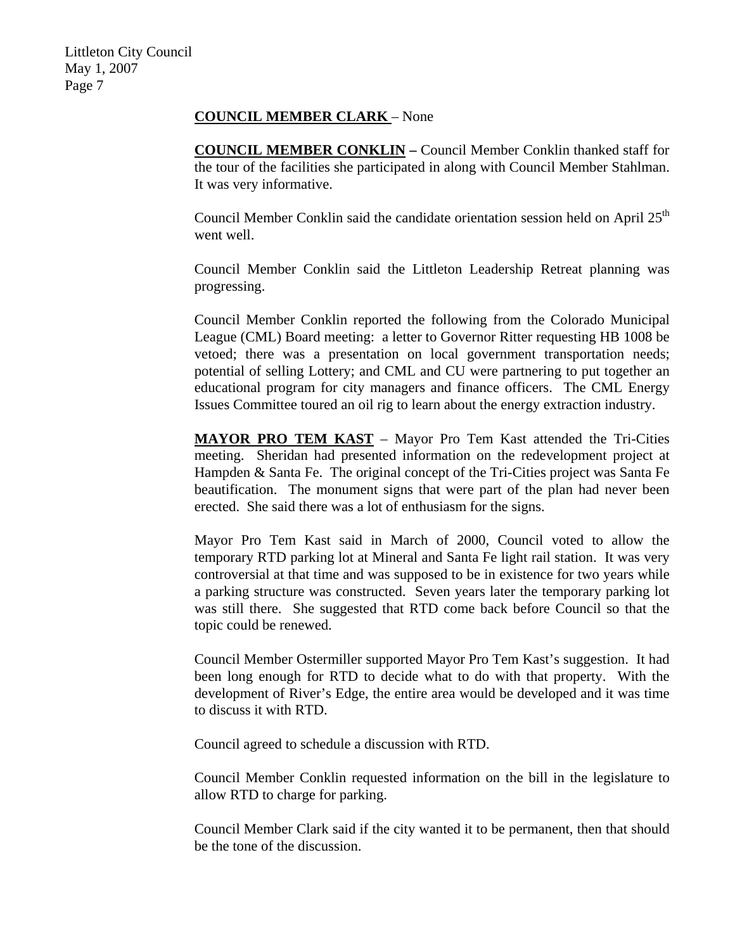#### **COUNCIL MEMBER CLARK** – None

**COUNCIL MEMBER CONKLIN –** Council Member Conklin thanked staff for the tour of the facilities she participated in along with Council Member Stahlman. It was very informative.

Council Member Conklin said the candidate orientation session held on April 25<sup>th</sup> went well.

Council Member Conklin said the Littleton Leadership Retreat planning was progressing.

Council Member Conklin reported the following from the Colorado Municipal League (CML) Board meeting: a letter to Governor Ritter requesting HB 1008 be vetoed; there was a presentation on local government transportation needs; potential of selling Lottery; and CML and CU were partnering to put together an educational program for city managers and finance officers. The CML Energy Issues Committee toured an oil rig to learn about the energy extraction industry.

**MAYOR PRO TEM KAST** – Mayor Pro Tem Kast attended the Tri-Cities meeting. Sheridan had presented information on the redevelopment project at Hampden & Santa Fe. The original concept of the Tri-Cities project was Santa Fe beautification. The monument signs that were part of the plan had never been erected. She said there was a lot of enthusiasm for the signs.

Mayor Pro Tem Kast said in March of 2000, Council voted to allow the temporary RTD parking lot at Mineral and Santa Fe light rail station. It was very controversial at that time and was supposed to be in existence for two years while a parking structure was constructed. Seven years later the temporary parking lot was still there. She suggested that RTD come back before Council so that the topic could be renewed.

Council Member Ostermiller supported Mayor Pro Tem Kast's suggestion. It had been long enough for RTD to decide what to do with that property. With the development of River's Edge, the entire area would be developed and it was time to discuss it with RTD.

Council agreed to schedule a discussion with RTD.

Council Member Conklin requested information on the bill in the legislature to allow RTD to charge for parking.

Council Member Clark said if the city wanted it to be permanent, then that should be the tone of the discussion.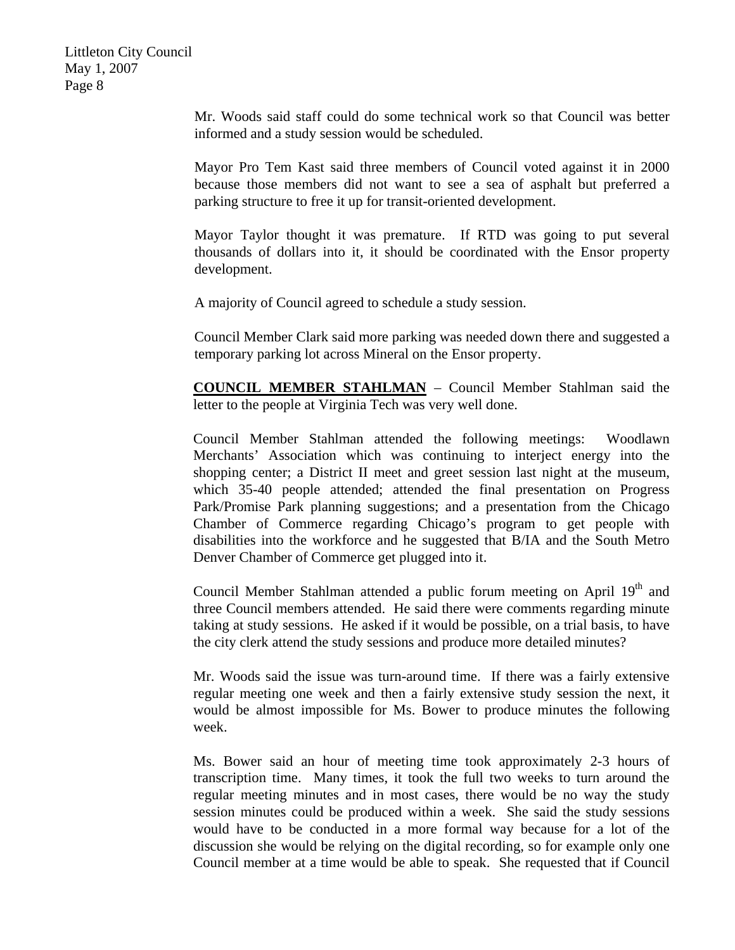> Mr. Woods said staff could do some technical work so that Council was better informed and a study session would be scheduled.

> Mayor Pro Tem Kast said three members of Council voted against it in 2000 because those members did not want to see a sea of asphalt but preferred a parking structure to free it up for transit-oriented development.

> Mayor Taylor thought it was premature. If RTD was going to put several thousands of dollars into it, it should be coordinated with the Ensor property development.

A majority of Council agreed to schedule a study session.

Council Member Clark said more parking was needed down there and suggested a temporary parking lot across Mineral on the Ensor property.

**COUNCIL MEMBER STAHLMAN** – Council Member Stahlman said the letter to the people at Virginia Tech was very well done.

Council Member Stahlman attended the following meetings: Woodlawn Merchants' Association which was continuing to interject energy into the shopping center; a District II meet and greet session last night at the museum, which 35-40 people attended; attended the final presentation on Progress Park/Promise Park planning suggestions; and a presentation from the Chicago Chamber of Commerce regarding Chicago's program to get people with disabilities into the workforce and he suggested that B/IA and the South Metro Denver Chamber of Commerce get plugged into it.

Council Member Stahlman attended a public forum meeting on April 19<sup>th</sup> and three Council members attended. He said there were comments regarding minute taking at study sessions. He asked if it would be possible, on a trial basis, to have the city clerk attend the study sessions and produce more detailed minutes?

Mr. Woods said the issue was turn-around time. If there was a fairly extensive regular meeting one week and then a fairly extensive study session the next, it would be almost impossible for Ms. Bower to produce minutes the following week.

Ms. Bower said an hour of meeting time took approximately 2-3 hours of transcription time. Many times, it took the full two weeks to turn around the regular meeting minutes and in most cases, there would be no way the study session minutes could be produced within a week. She said the study sessions would have to be conducted in a more formal way because for a lot of the discussion she would be relying on the digital recording, so for example only one Council member at a time would be able to speak. She requested that if Council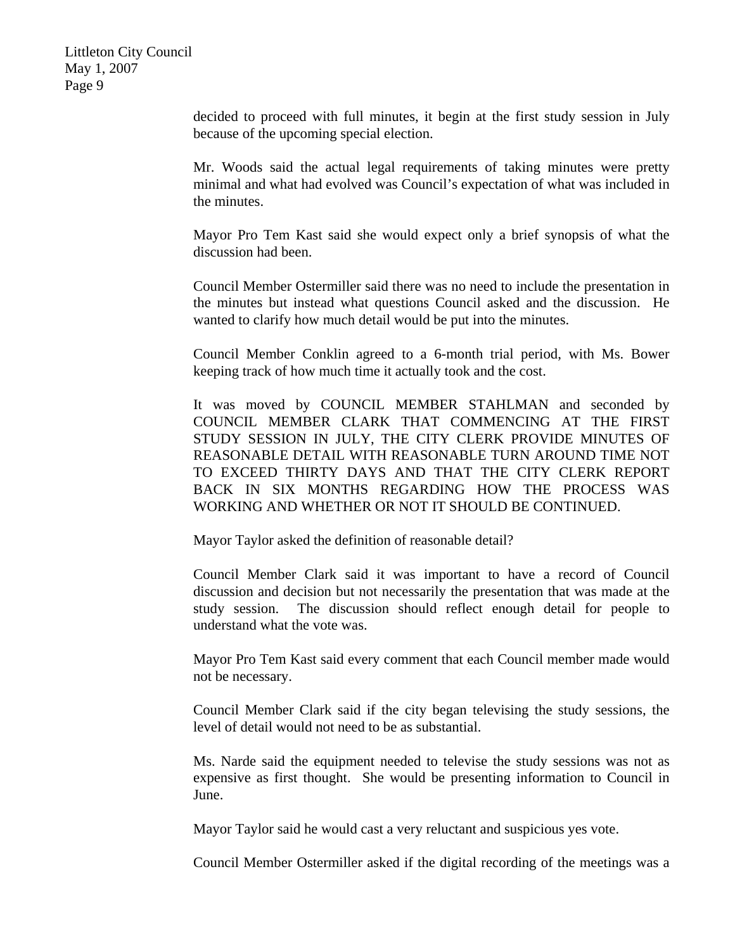> decided to proceed with full minutes, it begin at the first study session in July because of the upcoming special election.

> Mr. Woods said the actual legal requirements of taking minutes were pretty minimal and what had evolved was Council's expectation of what was included in the minutes.

> Mayor Pro Tem Kast said she would expect only a brief synopsis of what the discussion had been.

> Council Member Ostermiller said there was no need to include the presentation in the minutes but instead what questions Council asked and the discussion. He wanted to clarify how much detail would be put into the minutes.

> Council Member Conklin agreed to a 6-month trial period, with Ms. Bower keeping track of how much time it actually took and the cost.

> It was moved by COUNCIL MEMBER STAHLMAN and seconded by COUNCIL MEMBER CLARK THAT COMMENCING AT THE FIRST STUDY SESSION IN JULY, THE CITY CLERK PROVIDE MINUTES OF REASONABLE DETAIL WITH REASONABLE TURN AROUND TIME NOT TO EXCEED THIRTY DAYS AND THAT THE CITY CLERK REPORT BACK IN SIX MONTHS REGARDING HOW THE PROCESS WAS WORKING AND WHETHER OR NOT IT SHOULD BE CONTINUED.

Mayor Taylor asked the definition of reasonable detail?

Council Member Clark said it was important to have a record of Council discussion and decision but not necessarily the presentation that was made at the study session. The discussion should reflect enough detail for people to understand what the vote was.

Mayor Pro Tem Kast said every comment that each Council member made would not be necessary.

Council Member Clark said if the city began televising the study sessions, the level of detail would not need to be as substantial.

Ms. Narde said the equipment needed to televise the study sessions was not as expensive as first thought. She would be presenting information to Council in June.

Mayor Taylor said he would cast a very reluctant and suspicious yes vote.

Council Member Ostermiller asked if the digital recording of the meetings was a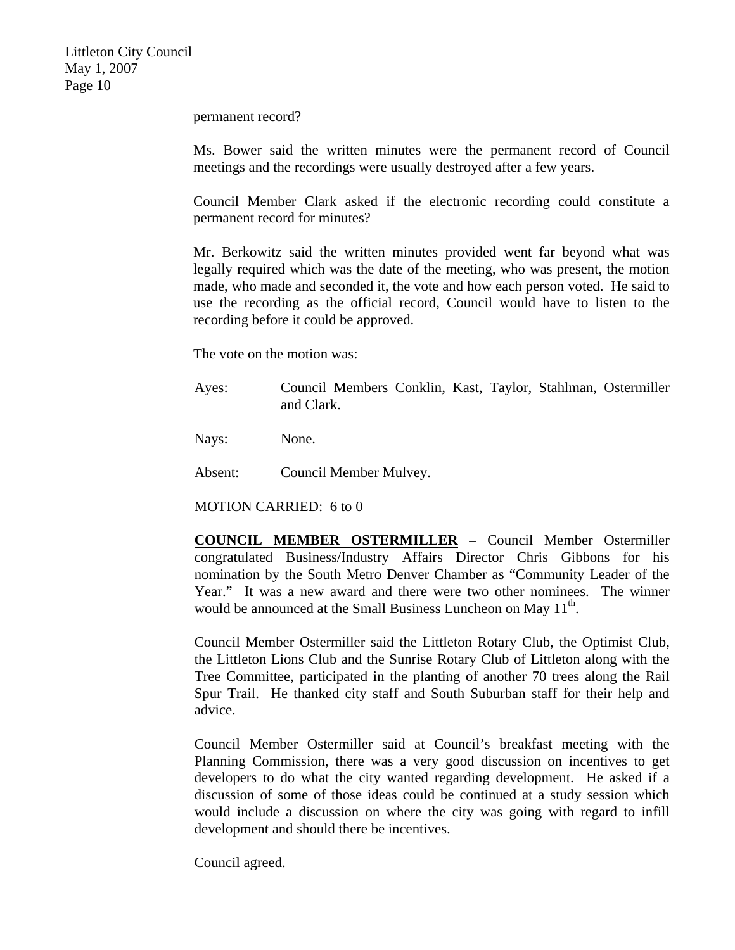permanent record?

Ms. Bower said the written minutes were the permanent record of Council meetings and the recordings were usually destroyed after a few years.

Council Member Clark asked if the electronic recording could constitute a permanent record for minutes?

Mr. Berkowitz said the written minutes provided went far beyond what was legally required which was the date of the meeting, who was present, the motion made, who made and seconded it, the vote and how each person voted. He said to use the recording as the official record, Council would have to listen to the recording before it could be approved.

The vote on the motion was:

Ayes: Council Members Conklin, Kast, Taylor, Stahlman, Ostermiller and Clark.

Nays: None.

Absent: Council Member Mulvey.

MOTION CARRIED: 6 to 0

**COUNCIL MEMBER OSTERMILLER** – Council Member Ostermiller congratulated Business/Industry Affairs Director Chris Gibbons for his nomination by the South Metro Denver Chamber as "Community Leader of the Year." It was a new award and there were two other nominees. The winner would be announced at the Small Business Luncheon on May 11<sup>th</sup>.

Council Member Ostermiller said the Littleton Rotary Club, the Optimist Club, the Littleton Lions Club and the Sunrise Rotary Club of Littleton along with the Tree Committee, participated in the planting of another 70 trees along the Rail Spur Trail. He thanked city staff and South Suburban staff for their help and advice.

Council Member Ostermiller said at Council's breakfast meeting with the Planning Commission, there was a very good discussion on incentives to get developers to do what the city wanted regarding development. He asked if a discussion of some of those ideas could be continued at a study session which would include a discussion on where the city was going with regard to infill development and should there be incentives.

Council agreed.